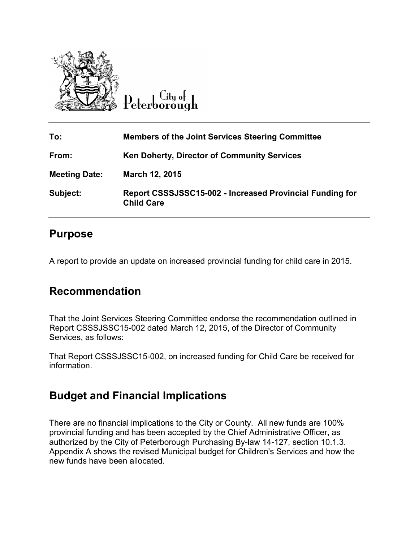

 $C$ ity of Peterborough

| To:                  | <b>Members of the Joint Services Steering Committee</b>                       |
|----------------------|-------------------------------------------------------------------------------|
| From:                | <b>Ken Doherty, Director of Community Services</b>                            |
| <b>Meeting Date:</b> | March 12, 2015                                                                |
| Subject:             | Report CSSSJSSC15-002 - Increased Provincial Funding for<br><b>Child Care</b> |

### **Purpose**

A report to provide an update on increased provincial funding for child care in 2015.

## **Recommendation**

That the Joint Services Steering Committee endorse the recommendation outlined in Report CSSSJSSC15-002 dated March 12, 2015, of the Director of Community Services, as follows:

That Report CSSSJSSC15-002, on increased funding for Child Care be received for information.

# **Budget and Financial Implications**

There are no financial implications to the City or County. All new funds are 100% provincial funding and has been accepted by the Chief Administrative Officer, as authorized by the City of Peterborough Purchasing By-law 14-127, section 10.1.3. Appendix A shows the revised Municipal budget for Children's Services and how the new funds have been allocated.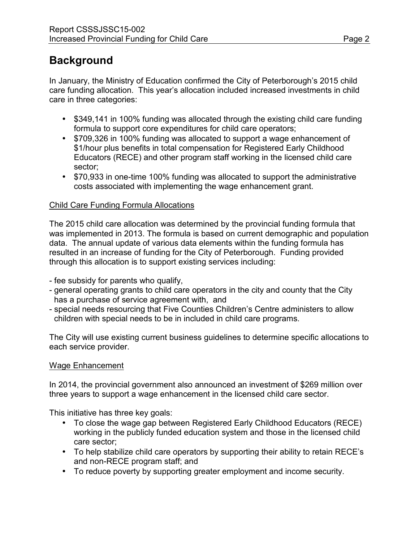## **Background**

In January, the Ministry of Education confirmed the City of Peterborough's 2015 child care funding allocation. This year's allocation included increased investments in child care in three categories:

- \$349,141 in 100% funding was allocated through the existing child care funding formula to support core expenditures for child care operators;
- \$709,326 in 100% funding was allocated to support a wage enhancement of \$1/hour plus benefits in total compensation for Registered Early Childhood Educators (RECE) and other program staff working in the licensed child care sector;
- \$70,933 in one-time 100% funding was allocated to support the administrative costs associated with implementing the wage enhancement grant.

#### Child Care Funding Formula Allocations

The 2015 child care allocation was determined by the provincial funding formula that was implemented in 2013. The formula is based on current demographic and population data. The annual update of various data elements within the funding formula has resulted in an increase of funding for the City of Peterborough. Funding provided through this allocation is to support existing services including:

- fee subsidy for parents who qualify,

- general operating grants to child care operators in the city and county that the City has a purchase of service agreement with, and
- special needs resourcing that Five Counties Children's Centre administers to allow children with special needs to be in included in child care programs.

The City will use existing current business guidelines to determine specific allocations to each service provider.

#### Wage Enhancement

In 2014, the provincial government also announced an investment of \$269 million over three years to support a wage enhancement in the licensed child care sector.

This initiative has three key goals:

- To close the wage gap between Registered Early Childhood Educators (RECE) working in the publicly funded education system and those in the licensed child care sector;
- To help stabilize child care operators by supporting their ability to retain RECE's and non-RECE program staff; and
- To reduce poverty by supporting greater employment and income security.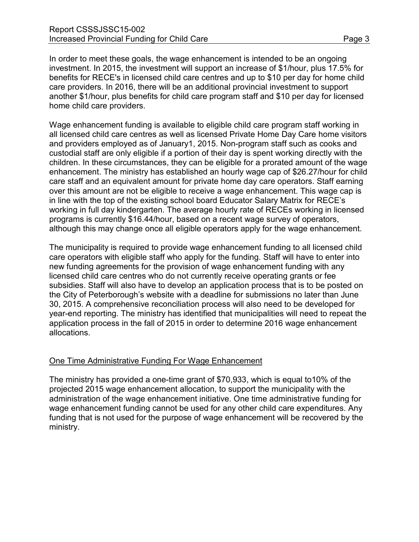In order to meet these goals, the wage enhancement is intended to be an ongoing investment. In 2015, the investment will support an increase of \$1/hour, plus 17.5% for benefits for RECE's in licensed child care centres and up to \$10 per day for home child care providers. In 2016, there will be an additional provincial investment to support another \$1/hour, plus benefits for child care program staff and \$10 per day for licensed home child care providers.

Wage enhancement funding is available to eligible child care program staff working in all licensed child care centres as well as licensed Private Home Day Care home visitors and providers employed as of January1, 2015. Non-program staff such as cooks and custodial staff are only eligible if a portion of their day is spent working directly with the children. In these circumstances, they can be eligible for a prorated amount of the wage enhancement. The ministry has established an hourly wage cap of \$26.27/hour for child care staff and an equivalent amount for private home day care operators. Staff earning over this amount are not be eligible to receive a wage enhancement. This wage cap is in line with the top of the existing school board Educator Salary Matrix for RECE's working in full day kindergarten. The average hourly rate of RECEs working in licensed programs is currently \$16.44/hour, based on a recent wage survey of operators, although this may change once all eligible operators apply for the wage enhancement.

The municipality is required to provide wage enhancement funding to all licensed child care operators with eligible staff who apply for the funding. Staff will have to enter into new funding agreements for the provision of wage enhancement funding with any licensed child care centres who do not currently receive operating grants or fee subsidies. Staff will also have to develop an application process that is to be posted on the City of Peterborough's website with a deadline for submissions no later than June 30, 2015. A comprehensive reconciliation process will also need to be developed for year-end reporting. The ministry has identified that municipalities will need to repeat the application process in the fall of 2015 in order to determine 2016 wage enhancement allocations.

#### One Time Administrative Funding For Wage Enhancement

The ministry has provided a one-time grant of \$70,933, which is equal to10% of the projected 2015 wage enhancement allocation, to support the municipality with the administration of the wage enhancement initiative. One time administrative funding for wage enhancement funding cannot be used for any other child care expenditures. Any funding that is not used for the purpose of wage enhancement will be recovered by the ministry.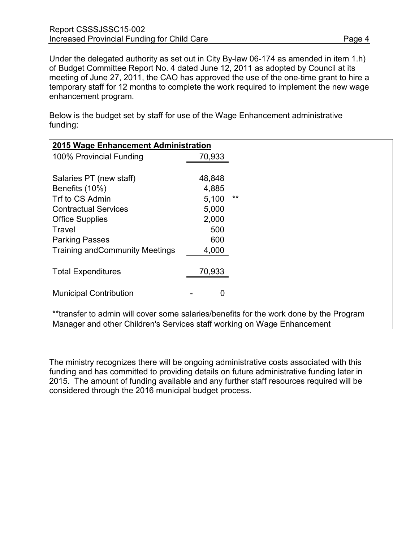Under the delegated authority as set out in City By-law 06-174 as amended in item 1.h) of Budget Committee Report No. 4 dated June 12, 2011 as adopted by Council at its meeting of June 27, 2011, the CAO has approved the use of the one-time grant to hire a temporary staff for 12 months to complete the work required to implement the new wage enhancement program.

Below is the budget set by staff for use of the Wage Enhancement administrative funding:

| 2015 Wage Enhancement Administration   |        |       |
|----------------------------------------|--------|-------|
| 100% Provincial Funding                | 70,933 |       |
|                                        |        |       |
| Salaries PT (new staff)                | 48,848 |       |
| Benefits (10%)                         | 4,885  |       |
| Trf to CS Admin                        | 5,100  | $***$ |
| <b>Contractual Services</b>            | 5,000  |       |
| <b>Office Supplies</b>                 | 2,000  |       |
| Travel                                 | 500    |       |
| <b>Parking Passes</b>                  | 600    |       |
| <b>Training and Community Meetings</b> | 4,000  |       |
|                                        |        |       |
| <b>Total Expenditures</b>              | 70,933 |       |
|                                        |        |       |
| <b>Municipal Contribution</b>          | 0      |       |
|                                        |        |       |
|                                        |        |       |

transfer to admin will cover some salaries/benefits for the work done by the Program Manager and other Children's Services staff working on Wage Enhancement

The ministry recognizes there will be ongoing administrative costs associated with this funding and has committed to providing details on future administrative funding later in 2015. The amount of funding available and any further staff resources required will be considered through the 2016 municipal budget process.